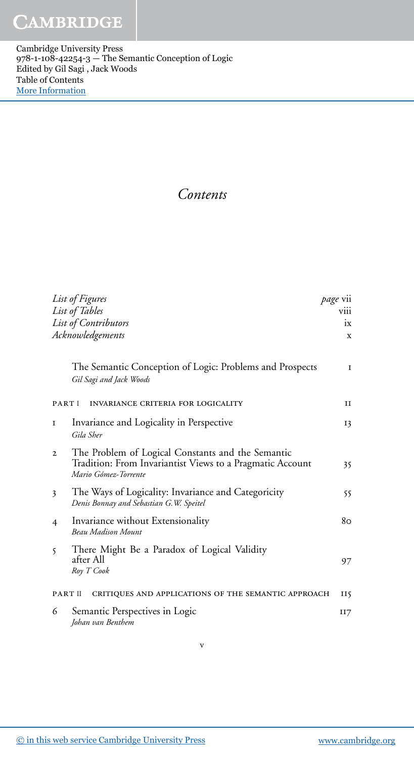Cambridge University Press 978-1-108-42254-3 — The Semantic Conception of Logic Edited by Gil Sagi , Jack Woods Table of Contents [More Information](www.cambridge.org/9781108422543)

## *Contents*

| List of Figures<br>List of Tables                                                                                                                      | <i>page</i> vii<br>V111 |
|--------------------------------------------------------------------------------------------------------------------------------------------------------|-------------------------|
| List of Contributors                                                                                                                                   | ix                      |
| Acknowledgements                                                                                                                                       | X                       |
| The Semantic Conception of Logic: Problems and Prospects<br>Gil Sagi and Jack Woods                                                                    | $\mathbf{I}$            |
| PART I<br>INVARIANCE CRITERIA FOR LOGICALITY                                                                                                           | $_{\rm II}$             |
| Invariance and Logicality in Perspective<br>L<br>Gila Sher                                                                                             | 13                      |
| The Problem of Logical Constants and the Semantic<br>$\mathbf{2}$<br>Tradition: From Invariantist Views to a Pragmatic Account<br>Mario Gómez-Torrente | 35                      |
| The Ways of Logicality: Invariance and Categoricity<br>3<br>Denis Bonnay and Sebastian G.W. Speitel                                                    | 55                      |
| Invariance without Extensionality<br>4<br><b>Beau Madison Mount</b>                                                                                    | 80                      |
| There Might Be a Paradox of Logical Validity<br>5<br>after All<br>Roy T Cook                                                                           | 97                      |
| PART II<br>CRITIQUES AND APPLICATIONS OF THE SEMANTIC APPROACH                                                                                         | Н5                      |
| Semantic Perspectives in Logic<br>6<br>Johan van Benthem                                                                                               | II7                     |